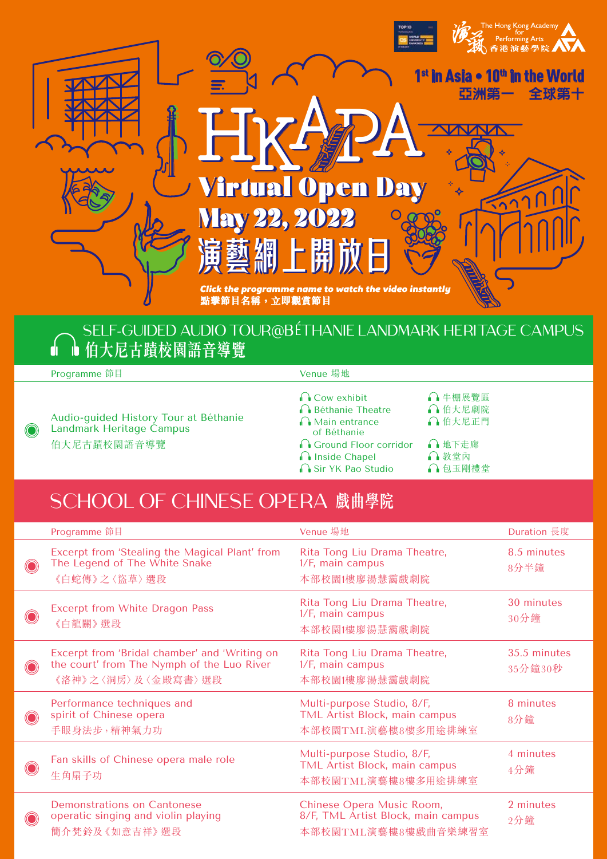

#### SELF-GUIDED AUDIO TOUR@BÉTHANIE LANDMARK HERITAGE CAMPUS **伯大尼古蹟校園語音導覽**

Programme 節目 **Venue** 場地

- [Audio-guided History Tour at Béthanie](https://youtube.com/playlist?list=PLAxMeib5QN-RMKJE97OMsJ-umpPm8TRtT)  Landmark Heritage Campus 伯大尼古蹟校園語音導覽
- [Cow exhibit](https://youtu.be/A_WfVJAUaCM) [牛棚展覽區](https://youtu.be/JixZ1rB-Bvo)
- □ [Béthanie Theatre](https://youtu.be/nKQRMYhwrhs) [伯大尼劇院](https://youtu.be/nTg8VTYS_eo)
- ■ [Main entrance](https://youtu.be/VuCNXAfQOEs)  ● [伯大尼正門](https://youtu.be/b0cgKagJMg0)
- of Béthanie
- **A** [Ground Floor corridor](https://youtu.be/Mks0Zd3edNE) [地下走廊](https://youtu.be/I767rot9NA4)
- **∩**Inside Chapel ● 科堂內
- □ [Sir YK Pao Studio](https://youtu.be/n1C7tbej-B0) □ □ [包玉剛禮堂](https://youtu.be/G5a1wFD1IBk)

## SCHOOL OF CHINESE OPERA **戲曲學院**

| Programme 節目                                                                                                       | Venue 場地                                                                               | Duration 長度             |
|--------------------------------------------------------------------------------------------------------------------|----------------------------------------------------------------------------------------|-------------------------|
| Excerpt from 'Stealing the Magical Plant' from<br>The Legend of The White Snake<br>《白蛇傳》之〈盜草〉選段                    | Rita Tong Liu Drama Theatre,<br>1/F, main campus<br>本部校園1樓廖湯慧靄戲劇院                      | 8.5 minutes<br>8分半鐘     |
| <b>Excerpt from White Dragon Pass</b><br>《白龍關》選段                                                                   | Rita Tong Liu Drama Theatre,<br>1/F, main campus<br>本部校園1樓廖湯慧靄戲劇院                      | 30 minutes<br>30分鐘      |
| Excerpt from 'Bridal chamber' and 'Writing on<br>the court' from The Nymph of the Luo River<br>《洛神》之〈洞房〉及〈金殿寫書〉 選段 | Rita Tong Liu Drama Theatre,<br>1/F, main campus<br>本部校園1樓廖湯慧靄戲劇院                      | 35.5 minutes<br>35分鐘30秒 |
| Performance techniques and<br>spirit of Chinese opera<br>手眼身法步,精神氣力功                                               | Multi-purpose Studio, 8/F,<br>TML Artist Block, main campus<br>本部校園TML演藝樓8樓多用途排練室      | 8 minutes<br>8分鐘        |
| Fan skills of Chinese opera male role<br>生角扇子功                                                                     | Multi-purpose Studio, 8/F,<br>TML Artist Block, main campus<br>本部校園TML演藝樓8樓多用途排練室      | 4 minutes<br>4分鐘        |
| Demonstrations on Cantonese<br>operatic singing and violin playing<br>簡介梵鈴及《如意吉祥》選段                                | Chinese Opera Music Room,<br>8/F, TML Artist Block, main campus<br>本部校園TML演藝樓8樓戲曲音樂練習室 | 2 minutes<br>2分鐘        |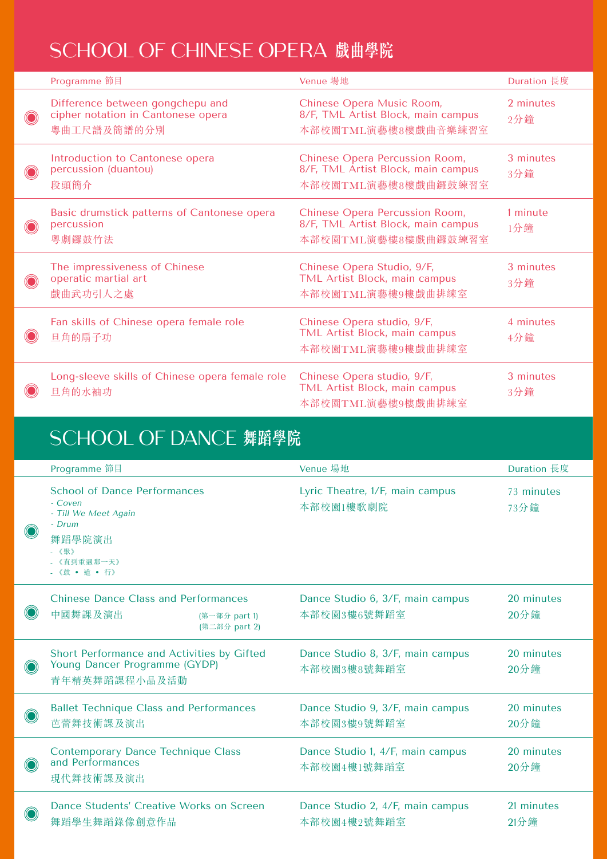## SCHOOL OF CHINESE OPERA **戲曲學院**

| Programme 節目                                                                          | Venue 場地                                                                                    | Duration 長度      |
|---------------------------------------------------------------------------------------|---------------------------------------------------------------------------------------------|------------------|
| Difference between gongchepu and<br>cipher notation in Cantonese opera<br>粵曲工尺譜及簡譜的分別 | Chinese Opera Music Room,<br>8/F, TML Artist Block, main campus<br>本部校園TML演藝樓8樓戲曲音樂練習室      | 2 minutes<br>2分鐘 |
| Introduction to Cantonese opera<br>percussion (duantou)<br>段頭簡介                       | Chinese Opera Percussion Room,<br>8/F, TML Artist Block, main campus<br>本部校園TML演藝樓8樓戲曲鑼鼓練習室 | 3 minutes<br>3分鐘 |
| Basic drumstick patterns of Cantonese opera<br>percussion<br>粵劇鑼鼓竹法                   | Chinese Opera Percussion Room,<br>8/F, TML Artist Block, main campus<br>本部校園TML演藝樓8樓戲曲鑼鼓練習室 | 1 minute<br>1分鐘  |
| The impressiveness of Chinese<br>operatic martial art<br>戲曲武功引人之處                     | Chinese Opera Studio, 9/F,<br>TML Artist Block, main campus<br>本部校園TML演藝樓9樓戲曲排練室            | 3 minutes<br>3分鐘 |
| Fan skills of Chinese opera female role<br>旦角的扇子功                                     | Chinese Opera studio, 9/F,<br><b>TML Artist Block, main campus</b><br>本部校園TML演藝樓9樓戲曲排練室     | 4 minutes<br>4分鐘 |
| Long-sleeve skills of Chinese opera female role<br>旦角的水袖功                             | Chinese Opera studio, 9/F,<br>TML Artist Block, main campus<br>本部校園TML演藝樓9樓戲曲排練室            | 3 minutes<br>3分鐘 |

## SCHOOL OF DANCE **舞蹈學院**

| Programme 節目                                                                                                                        | Venue 場地                                        | Duration 長度           |
|-------------------------------------------------------------------------------------------------------------------------------------|-------------------------------------------------|-----------------------|
| <b>School of Dance Performances</b><br>- Coven<br>- Till We Meet Again<br>- Drum<br>舞蹈學院演出<br>- 《聚》<br>- 《直到重遇那一天》<br>- 《鼓 · 道 · 行》 | Lyric Theatre, 1/F, main campus<br>本部校園1樓歌劇院    | 73 minutes<br>73分鐘    |
| <b>Chinese Dance Class and Performances</b><br>中國舞課及演出<br>(第一部分 part 1)<br>(第二部分 part 2)                                            | Dance Studio 6, 3/F, main campus<br>本部校園3樓6號舞蹈室 | 20 minutes<br>20分鐘    |
| Short Performance and Activities by Gifted<br>Young Dancer Programme (GYDP)<br>青年精英舞蹈課程小品及活動                                        | Dance Studio 8, 3/F, main campus<br>本部校園3樓8號舞蹈室 | 20 minutes<br>20分鐘    |
| <b>Ballet Technique Class and Performances</b><br>芭蕾舞技術課及演出                                                                         | Dance Studio 9, 3/F, main campus<br>本部校園3樓9號舞蹈室 | 20 minutes<br>20分鐘    |
| <b>Contemporary Dance Technique Class</b><br>and Performances<br>現代舞技術課及演出                                                          | Dance Studio 1, 4/F, main campus<br>本部校園4樓1號舞蹈室 | 20 minutes<br>$20$ 分鐘 |
| Dance Students' Creative Works on Screen<br>舞蹈學生舞蹈錄像創意作品                                                                            | Dance Studio 2, 4/F, main campus<br>本部校園4樓2號舞蹈室 | 21 minutes<br>$21$ 分鐘 |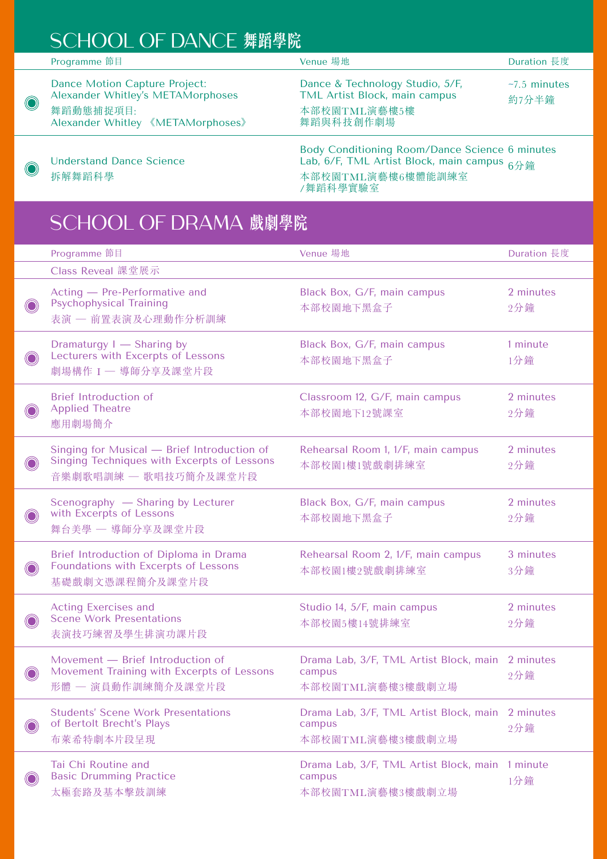## SCHOOL OF DANCE **舞蹈學院**

|            | Programme 節目                                                                                                                | Venue 場地                                                                                      | Duration 長度                 |
|------------|-----------------------------------------------------------------------------------------------------------------------------|-----------------------------------------------------------------------------------------------|-----------------------------|
| $\bigcirc$ | <b>Dance Motion Capture Project:</b><br>Alexander Whitley's METAMorphoses<br>舞蹈動態捕捉項目:<br>Alexander Whitley 《METAMorphoses》 | Dance & Technology Studio, 5/F,<br>TML Artist Block, main campus<br>本部校園TML演藝樓5樓<br>舞蹈與科技創作劇場 | $\sim$ 7.5 minutes<br>約7分半鐘 |
|            |                                                                                                                             |                                                                                               |                             |

[Understand Dance Science](https://youtu.be/ynyo3s6q8xM) 拆解舞蹈科學

 $\bigcirc$ 

Body Conditioning Room/Dance Science Lab, 6/F, TML Artist Block, main campus 本部校園TML演藝樓6樓體能訓練室 /舞蹈科學實驗室 6 minutes 6分鐘

## SCHOOL OF DRAMA **戲劇學院**

| Programme 節目                                                                                                        | Venue 場地                                                             | Duration 長度      |
|---------------------------------------------------------------------------------------------------------------------|----------------------------------------------------------------------|------------------|
| Class Reveal 課堂展示                                                                                                   |                                                                      |                  |
| Acting - Pre-Performative and<br><b>Psychophysical Training</b><br>表演 一 前置表演及心理動作分析訓練                               | Black Box, G/F, main campus<br>本部校園地下黑盒子                             | 2 minutes<br>2分鐘 |
| Dramaturgy I - Sharing by<br>Lecturers with Excerpts of Lessons<br>劇場構作 I - 導師分享及課堂片段                               | Black Box, G/F, main campus<br>本部校園地下黑盒子                             | 1 minute<br>1分鐘  |
| <b>Brief Introduction of</b><br><b>Applied Theatre</b><br>應用劇場簡介                                                    | Classroom 12, G/F, main campus<br>本部校園地下12號課室                        | 2 minutes<br>2分鐘 |
| Singing for Musical - Brief Introduction of<br>Singing Techniques with Excerpts of Lessons<br>音樂劇歌唱訓練 - 歌唱技巧簡介及課堂片段 | Rehearsal Room 1, 1/F, main campus<br>本部校園1樓1號戲劇排練室                  | 2 minutes<br>2分鐘 |
| Scenography - Sharing by Lecturer<br>with Excerpts of Lessons<br>舞台美學 一 導師分享及課堂片段                                   | Black Box, G/F, main campus<br>本部校園地下黑盒子                             | 2 minutes<br>2分鐘 |
| Brief Introduction of Diploma in Drama<br>Foundations with Excerpts of Lessons<br>基礎戲劇文憑課程簡介及課堂片段                   | Rehearsal Room 2, 1/F, main campus<br>本部校園1樓2號戲劇排練室                  | 3 minutes<br>3分鐘 |
| <b>Acting Exercises and</b><br><b>Scene Work Presentations</b><br>表演技巧練習及學生排演功課片段                                   | Studio 14, 5/F, main campus<br>本部校園5樓14號排練室                          | 2 minutes<br>2分鐘 |
| Movement - Brief Introduction of<br>Movement Training with Excerpts of Lessons<br>形體 一 演員動作訓練簡介及課堂片段                | Drama Lab, 3/F, TML Artist Block, main<br>campus<br>本部校園TML演藝樓3樓戲劇立場 | 2 minutes<br>2分鐘 |
| <b>Students' Scene Work Presentations</b><br>of Bertolt Brecht's Plays<br>布萊希特劇本片段呈現                                | Drama Lab, 3/F, TML Artist Block, main<br>campus<br>本部校園TML演藝樓3樓戲劇立場 | 2 minutes<br>2分鐘 |
| Tai Chi Routine and<br><b>Basic Drumming Practice</b><br>太極套路及基本擊鼓訓練                                                | Drama Lab, 3/F, TML Artist Block, main<br>campus<br>本部校園TML演藝樓3樓戲劇立場 | 1 minute<br>1分鐘  |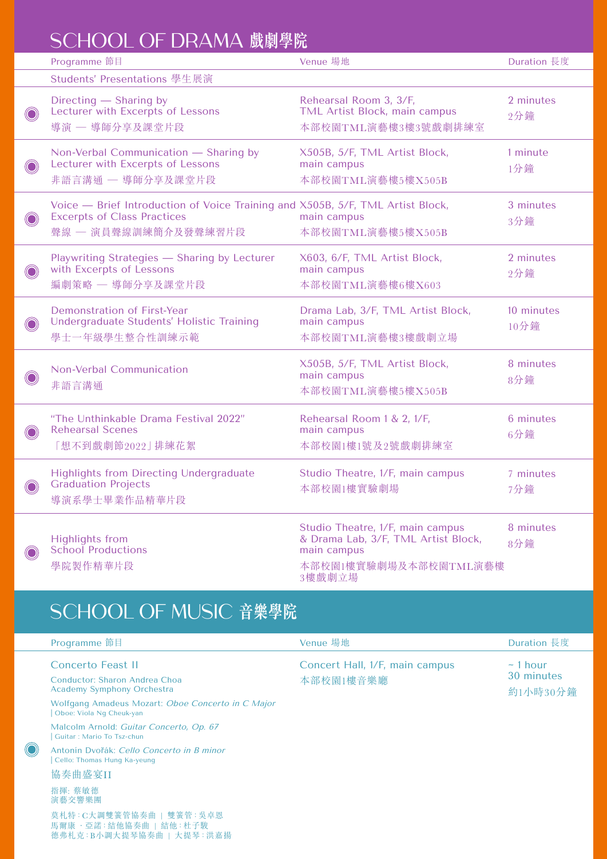### SCHOOL OF DRAMA **戲劇學院**

|            | Programme 節目                                                                                                                                 | Venue 場地                                                                                                                  | Duration 長度        |
|------------|----------------------------------------------------------------------------------------------------------------------------------------------|---------------------------------------------------------------------------------------------------------------------------|--------------------|
|            | Students' Presentations 學生展演                                                                                                                 |                                                                                                                           |                    |
| $\bigcirc$ | Directing - Sharing by<br>Lecturer with Excerpts of Lessons<br>導演 一 導師分享及課堂片段                                                                | Rehearsal Room 3, 3/F,<br>TML Artist Block, main campus<br>本部校園TML演藝樓3樓3號戲劇排練室                                            | 2 minutes<br>2分鐘   |
| $\bigcirc$ | Non-Verbal Communication - Sharing by<br>Lecturer with Excerpts of Lessons<br>非語言溝通 - 導師分享及課堂片段                                              | X505B, 5/F, TML Artist Block,<br>main campus<br>本部校園TML演藝樓5樓X505B                                                         | 1 minute<br>1分鐘    |
| $\bigcirc$ | Voice - Brief Introduction of Voice Training and X505B, 5/F, TML Artist Block,<br><b>Excerpts of Class Practices</b><br>聲線 一 演員聲線訓練簡介及發聲練習片段 | main campus<br>本部校園TML演藝樓5樓X505B                                                                                          | 3 minutes<br>3分鐘   |
| $\bigcirc$ | Playwriting Strategies - Sharing by Lecturer<br>with Excerpts of Lessons<br>編劇策略 - 導師分享及課堂片段                                                 | X603, 6/F, TML Artist Block,<br>main campus<br>本部校園TML演藝樓6樓X603                                                           | 2 minutes<br>2分鐘   |
| $\bigcirc$ | Demonstration of First-Year<br>Undergraduate Students' Holistic Training<br>學士一年級學生整合性訓練示範                                                   | Drama Lab, 3/F, TML Artist Block,<br>main campus<br>本部校園TML演藝樓3樓戲劇立場                                                      | 10 minutes<br>10分鐘 |
| $\bigcirc$ | <b>Non-Verbal Communication</b><br>非語言溝通                                                                                                     | X505B, 5/F, TML Artist Block,<br>main campus<br>本部校園TML演藝樓5樓X505B                                                         | 8 minutes<br>8分鐘   |
| $\bigcirc$ | "The Unthinkable Drama Festival 2022"<br><b>Rehearsal Scenes</b><br>[想不到戲劇節2022] 排練花絮                                                        | Rehearsal Room 1 & 2, 1/F,<br>main campus<br>本部校園1樓1號及2號戲劇排練室                                                             | 6 minutes<br>6分鐘   |
|            | <b>Highlights from Directing Undergraduate</b><br><b>Graduation Projects</b><br>導演系學士畢業作品精華片段                                                | Studio Theatre, 1/F, main campus<br>本部校園1樓實驗劇場                                                                            | 7 minutes<br>7分鐘   |
| $\bigcirc$ | <b>Highlights from</b><br><b>School Productions</b><br>學院製作精華片段                                                                              | Studio Theatre, 1/F, main campus<br>& Drama Lab, 3/F, TML Artist Block,<br>main campus<br>本部校園1樓實驗劇場及本部校園TML演藝樓<br>3樓戲劇立場 | 8 minutes<br>8分鐘   |

# SCHOOL OF MUSIC **音樂學院**

 $\bigcirc$ 

| Programme 節目                                                                            | Venue 場地                                    | Duration 長度                             |
|-----------------------------------------------------------------------------------------|---------------------------------------------|-----------------------------------------|
| Concerto Feast II<br>Conductor: Sharon Andrea Choa<br><b>Academy Symphony Orchestra</b> | Concert Hall, 1/F, main campus<br>本部校園1樓音樂廳 | $\sim$ 1 hour<br>30 minutes<br>約1小時30分鐘 |
| Wolfgang Amadeus Mozart: Oboe Concerto in C Major<br>Oboe: Viola Ng Cheuk-yan           |                                             |                                         |
| Malcolm Arnold: Guitar Concerto, Op. 67<br>Guitar: Mario To Tsz-chun                    |                                             |                                         |
| Antonín Dvořák: Cello Concerto in B minor<br>Cello: Thomas Hung Ka-yeung                |                                             |                                         |
| 協奏曲盛宴II                                                                                 |                                             |                                         |
| 指揮: 蔡敏德<br>演藝交響樂團                                                                       |                                             |                                         |
| 莫札特:C大調雙簧管協奏曲   雙簧管:吳卓恩<br>馬爾康 • 亞諾:結他協奏曲   結他:杜子駿<br>德弗札克: B小調大提琴協奏曲   大提琴: 洪嘉揚        |                                             |                                         |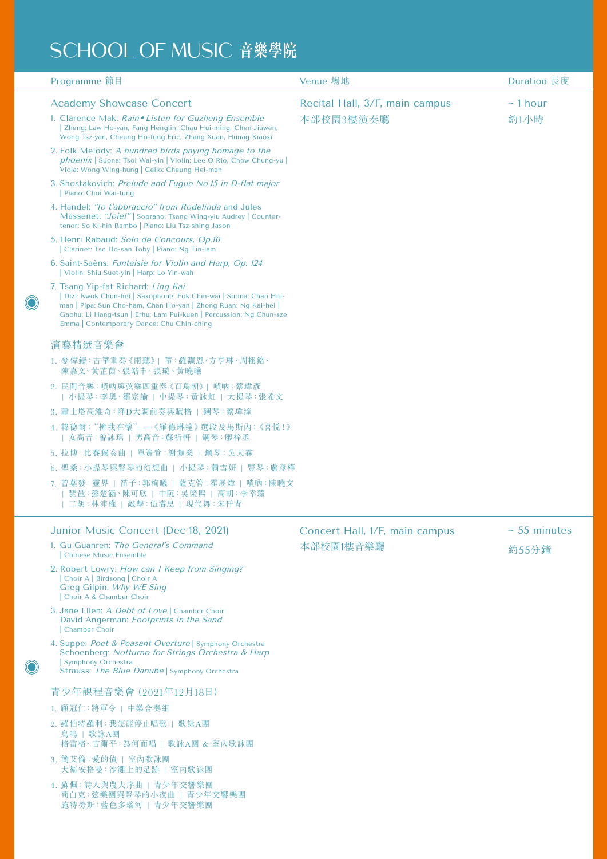# SCHOOL OF MUSIC **音樂學院**

| Programme 節目                                                                                                                                                                                                                                                                                 | Venue 場地                       | Duration 長度   |
|----------------------------------------------------------------------------------------------------------------------------------------------------------------------------------------------------------------------------------------------------------------------------------------------|--------------------------------|---------------|
| <b>Academy Showcase Concert</b>                                                                                                                                                                                                                                                              | Recital Hall, 3/F, main campus | $-1$ hour     |
| 1. Clarence Mak: Rain . Listen for Guzheng Ensemble<br>Zheng: Law Ho-yan, Fang Henglin, Chau Hui-ming, Chen Jiawen,<br>Wong Tsz-yan, Cheung Ho-fung Eric, Zhang Xuan, Hunag Xiaoxi                                                                                                           | 本部校園3樓演奏廳                      | 約1小時          |
| 2. Folk Melody: A hundred birds paying homage to the<br>phoenix   Suona: Tsoi Wai-yin   Violin: Lee O Rio, Chow Chung-yu  <br>Viola: Wong Wing-hung   Cello: Cheung Hei-man                                                                                                                  |                                |               |
| 3. Shostakovich: Prelude and Fugue No.15 in D-flat major<br>Piano: Choi Wai-tung                                                                                                                                                                                                             |                                |               |
| 4. Handel: "Io t'abbraccio" from Rodelinda and Jules<br>Massenet: "Joie!"   Soprano: Tsang Wing-yiu Audrey   Counter-<br>tenor: So Ki-hin Rambo   Piano: Liu Tsz-shing Jason                                                                                                                 |                                |               |
| 5. Henri Rabaud: Solo de Concours, Op.10<br>Clarinet: Tse Ho-san Toby   Piano: Ng Tin-lam                                                                                                                                                                                                    |                                |               |
| 6. Saint-Saëns: Fantaisie for Violin and Harp, Op. 124<br>Violin: Shiu Suet-yin   Harp: Lo Yin-wah                                                                                                                                                                                           |                                |               |
| 7. Tsang Yip-fat Richard: Ling Kai<br>Dizi: Kwok Chun-hei   Saxophone: Fok Chin-wai   Suona: Chan Hiu-<br>man   Pipa: Sun Cho-ham, Chan Ho-yan   Zhong Ruan: Ng Kai-hei  <br>Gaohu: Li Hang-tsun   Erhu: Lam Pui-kuen   Percussion: Ng Chun-sze<br>Emma   Contemporary Dance: Chu Chin-ching |                                |               |
| 演藝精選音樂會                                                                                                                                                                                                                                                                                      |                                |               |
| 1. 麥偉鑄:古箏重奏《雨聽》  箏:羅灝恩·方亨琳·周栩銘·<br>陳嘉文、黃芷茵、張皓丰、張璇、黃曉曦                                                                                                                                                                                                                                        |                                |               |
| 2. 民間音樂:嗩吶與弦樂四重奏《百鳥朝》  嗩吶:蔡瑋彥<br>  小提琴:李奥、鄒宗諭   中提琴:黄詠虹   大提琴:張希文                                                                                                                                                                                                                            |                                |               |
| 3. 蕭士塔高維奇: 降D大調前奏與賦格   鋼琴: 蔡瑋潼                                                                                                                                                                                                                                                               |                                |               |
| 4. 韓德爾: "擁我在懷" –《羅德琳達》選段及馬斯內: 《喜悦!》<br>  女高音:曾詠瑶   男高音:蘇祈軒   鋼琴:廖梓丞                                                                                                                                                                                                                          |                                |               |
| 5. 拉博:比賽獨奏曲   單簧管:謝灝燊   鋼琴:吳天霖                                                                                                                                                                                                                                                               |                                |               |
| 6. 聖桑: 小提琴與豎琴的幻想曲   小提琴: 蕭雪妍   豎琴: 盧彥樺                                                                                                                                                                                                                                                       |                                |               |
| 7. 曾葉發:靈界   笛子:郭栒曦   薩克管:霍展煒   嗩吶:陳曉文<br> 琵琶:孫楚涵、陳可欣   中阮:吳棨熙   高胡:李幸臻 <br>二胡:林沛權   敲擊:伍濬思   現代舞:朱仟青                                                                                                                                                                                         |                                |               |
| Junior Music Concert (Dec 18, 2021)                                                                                                                                                                                                                                                          | Concert Hall, 1/F, main campus | $~55$ minutes |
| 1. Gu Guanren: The General's Command<br>Chinese Music Ensemble                                                                                                                                                                                                                               | 本部校園1樓音樂廳                      | 約55分鐘         |
| 2. Robert Lowry: How can I Keep from Singing?<br>Choir A   Birdsong   Choir A<br>Greg Gilpin: Why WE Sing<br>Choir A & Chamber Choir                                                                                                                                                         |                                |               |
| 3. Jane Ellen: A Debt of Love   Chamber Choir<br>David Angerman: Footprints in the Sand<br>Chamber Choir                                                                                                                                                                                     |                                |               |
| 4. Suppe: Poet & Peasant Overture   Symphony Orchestra<br>Schoenberg: Notturno for Strings Orchestra & Harp<br>Symphony Orchestra<br>Strauss: The Blue Danube   Symphony Orchestra                                                                                                           |                                |               |
| 青少年課程音樂會 (2021年12月18日)                                                                                                                                                                                                                                                                       |                                |               |
| 1. 顧冠仁:將軍令   中樂合奏組                                                                                                                                                                                                                                                                           |                                |               |
| 2. 羅伯特羅利: 我怎能停止唱歌   歌詠A團<br>鳥鳴   歌詠A團<br>格雷格· 吉爾平: 為何而唱   歌詠A團 & 室內歌詠團                                                                                                                                                                                                                       |                                |               |
| 3. 簡艾倫: 愛的債   室內歌詠團<br>大衛安格曼: 沙灘上的足跡   室內歌詠團                                                                                                                                                                                                                                                 |                                |               |
| 4. 蘇佩:詩人與農夫序曲   青少年交響樂團<br>荀白克:弦樂團與豎琴的小夜曲   青少年交響樂團<br>施特勞斯:藍色多瑙河   青少年交響樂團                                                                                                                                                                                                                  |                                |               |

 $\bigcirc$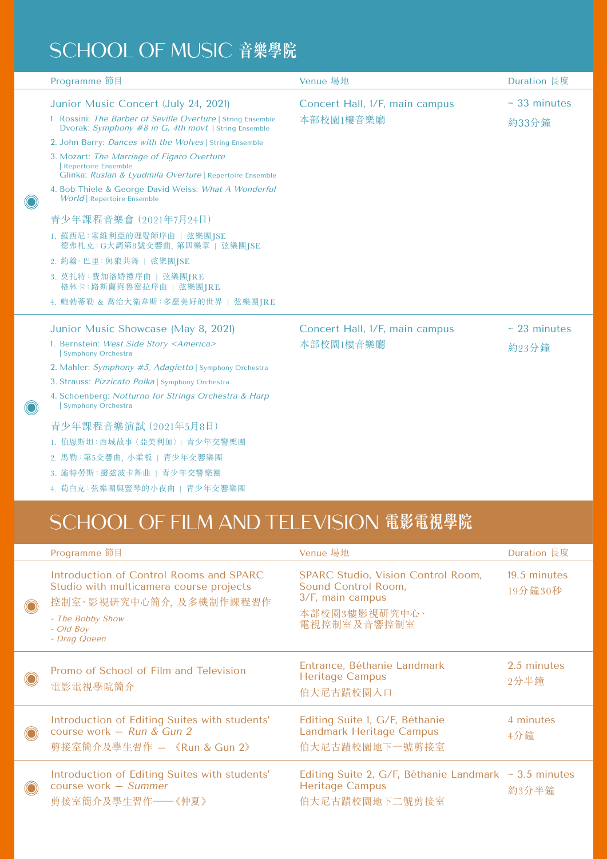## SCHOOL OF MUSIC **音樂學院**

O

O

| Programme 節目                                                                                                                                                                                                            | Venue 場地                                    | Duration 長度              |
|-------------------------------------------------------------------------------------------------------------------------------------------------------------------------------------------------------------------------|---------------------------------------------|--------------------------|
| Junior Music Concert (July 24, 2021)<br>1. Rossini: The Barber of Seville Overture   String Ensemble<br>Dvorak: Symphony #8 in G, 4th movt   String Ensemble<br>2. John Barry: Dances with the Wolves   String Ensemble | Concert Hall, 1/F, main campus<br>本部校園1樓音樂廳 | $~-$ 33 minutes<br>約33分鐘 |
| 3. Mozart: The Marriage of Figaro Overture<br><b>Repertoire Ensemble</b><br>Glinka: Ruslan & Lyudmila Overture   Repertoire Ensemble                                                                                    |                                             |                          |
| 4. Bob Thiele & George David Weiss: What A Wonderful<br><b>World</b> Repertoire Ensemble                                                                                                                                |                                             |                          |
| 青少年課程音樂會 (2021年7月24日)                                                                                                                                                                                                   |                                             |                          |
| 1. 羅西尼: 塞維利亞的理髮師序曲   弦樂團JSE<br>德弗札克: G大調第8號交響曲, 第四樂章   弦樂團JSE                                                                                                                                                           |                                             |                          |
| 2. 約翰·巴里:與狼共舞   弦樂團JSE                                                                                                                                                                                                  |                                             |                          |
| 3. 莫扎特: 費加洛婚禮序曲   弦樂團JRE<br>格林卡:路斯蘭與魯密拉序曲   弦樂團JRE                                                                                                                                                                      |                                             |                          |
| 4. 鮑勃蒂勒 & 喬治大衛韋斯:多麼美好的世界   弦樂團JRE                                                                                                                                                                                       |                                             |                          |
| Junior Music Showcase (May 8, 2021)                                                                                                                                                                                     | Concert Hall, 1/F, main campus              | $-23$ minutes            |
| 1. Bernstein: West Side Story <america><br/>Symphony Orchestra</america>                                                                                                                                                | 本部校園1樓音樂廳                                   | 約23分鐘                    |
| 2. Mahler: Symphony #5, Adagietto Symphony Orchestra                                                                                                                                                                    |                                             |                          |
| 3. Strauss: Pizzicato Polka   Symphony Orchestra                                                                                                                                                                        |                                             |                          |
| 4. Schoenberg: Notturno for Strings Orchestra & Harp<br>Symphony Orchestra                                                                                                                                              |                                             |                          |
| 青少年課程音樂演試 (2021年5月8日)                                                                                                                                                                                                   |                                             |                          |
| 1. 伯恩斯坦: 西城故事〈亞美利加〉  青少年交響樂團                                                                                                                                                                                            |                                             |                          |
| 2. 馬勒: 第5交響曲, 小柔板   青少年交響樂團                                                                                                                                                                                             |                                             |                          |
| 3. 施特勞斯: 撥弦波卡舞曲   青少年交響樂團                                                                                                                                                                                               |                                             |                          |
| 4. 荀白克:弦樂團與豎琴的小夜曲   青少年交響樂團                                                                                                                                                                                             |                                             |                          |

## SCHOOL OF FILM AND TELEVISION **電影電視學院**

|                | Programme 節目                                                                                                                                                  | Venue 場地                                                                                                             | Duration 長度             |
|----------------|---------------------------------------------------------------------------------------------------------------------------------------------------------------|----------------------------------------------------------------------------------------------------------------------|-------------------------|
| $\bigcirc$     | Introduction of Control Rooms and SPARC<br>Studio with multicamera course projects<br>控制室、影視研究中心簡介、及多機制作課程習作<br>- The Bobby Show<br>- Old Boy<br>- Drag Queen | <b>SPARC Studio, Vision Control Room,</b><br>Sound Control Room,<br>3/F, main campus<br>本部校園3樓影視研究中心、<br>電視控制室及音響控制室 | 19.5 minutes<br>19分鐘30秒 |
| $\bigcirc$     | Promo of School of Film and Television<br>電影電視學院簡介                                                                                                            | Entrance, Béthanie Landmark<br><b>Heritage Campus</b><br>伯大尼古蹟校園入口                                                   | 2.5 minutes<br>2分半鐘     |
| $\circledcirc$ | Introduction of Editing Suites with students'<br>course work $-$ Run & Gun 2<br>剪接室簡介及學生習作 - 《Run & Gun 2》                                                    | Editing Suite 1, G/F, Béthanie<br><b>Landmark Heritage Campus</b><br>伯大尼古蹟校園地下一號剪接室                                  | 4 minutes<br>4分鐘        |
| $\circledcirc$ | Introduction of Editing Suites with students'<br>course work - Summer<br>剪接室簡介及學生習作――《仲夏》                                                                     | Editing Suite 2, $G/F$ , Béthanie Landmark ~ 3.5 minutes<br><b>Heritage Campus</b><br>伯大尼古蹟校園地下二號剪接室                 | 約3分半鐘                   |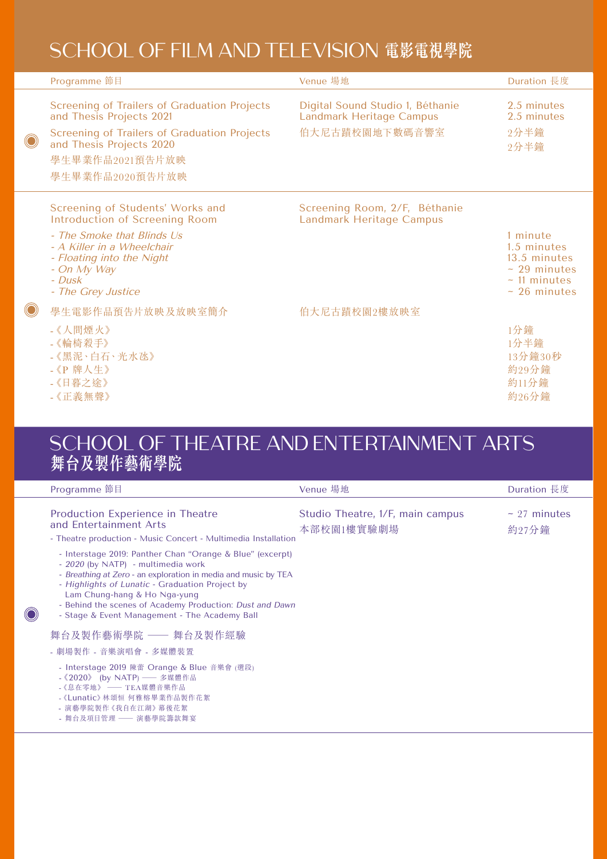## SCHOOL OF FILM AND TELEVISION **電影電視學院**

|            | Programme 節目                                                                                                                                                                                               | Venue 場地                                                                              | Duration 長度                                                                                |
|------------|------------------------------------------------------------------------------------------------------------------------------------------------------------------------------------------------------------|---------------------------------------------------------------------------------------|--------------------------------------------------------------------------------------------|
| $\bigcirc$ | <b>Screening of Trailers of Graduation Projects</b><br>and Thesis Projects 2021<br><b>Screening of Trailers of Graduation Projects</b><br>and Thesis Projects 2020<br>學生畢業作品2021預告片放映<br>學生畢業作品2020預告片放映   | Digital Sound Studio 1, Béthanie<br><b>Landmark Heritage Campus</b><br>伯大尼古蹟校園地下數碼音響室 | 2.5 minutes<br>2.5 minutes<br>2分半鐘<br>2分半鐘                                                 |
|            | Screening of Students' Works and<br>Introduction of Screening Room<br>- The Smoke that Blinds Us<br>- A Killer in a Wheelchair<br>- Floating into the Night<br>- On My Way<br>- Dusk<br>- The Grey Justice | Screening Room, 2/F, Béthanie<br><b>Landmark Heritage Campus</b>                      | 1 minute<br>1.5 minutes<br>13.5 minutes<br>$-29$ minutes<br>$-11$ minutes<br>$-26$ minutes |
|            | 學生電影作品預告片放映及放映室簡介<br>- 《人間煙火》<br>- 《輪椅殺手》<br>- 《黑泥·白石· 光水氹》<br>- 《P 牌人生》<br>-《日暮之途》<br>-《正義無聲》                                                                                                             | 伯大尼古蹟校園2樓放映室                                                                          | 1分鐘<br>1分半鐘<br>13分鐘30秒<br>約29分鐘<br>約11分鐘<br>約26分鐘                                          |

#### SCHOOL OF THEATRE AND ENTERTAINMENT ARTS **舞台及製作藝術學院**

|                                                                                                                  | Duration 長度                |
|------------------------------------------------------------------------------------------------------------------|----------------------------|
| Studio Theatre, 1/F, main campus<br>本部校園1樓實驗劇場<br>- Theatre production - Music Concert - Multimedia Installation | $\sim$ 27 minutes<br>約27分鐘 |
| - Behind the scenes of Academy Production: Dust and Dawn                                                         |                            |
|                                                                                                                  |                            |
|                                                                                                                  |                            |
|                                                                                                                  |                            |
|                                                                                                                  |                            |

 $\bigcirc$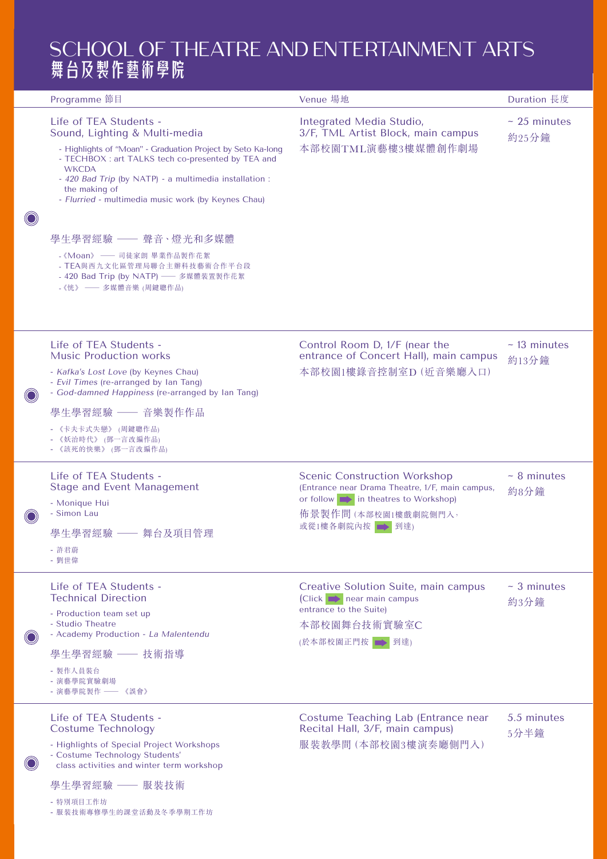### SCHOOL OF THEATRE AND ENTERTAINMENT ARTS 舞台及製作藝術學院

|         | Programme 節目                                                                                                                                                                                                                                                                                                                                                                                                                                                                         | Venue 場地                                                                                                                                                                          | Duration 長度               |
|---------|--------------------------------------------------------------------------------------------------------------------------------------------------------------------------------------------------------------------------------------------------------------------------------------------------------------------------------------------------------------------------------------------------------------------------------------------------------------------------------------|-----------------------------------------------------------------------------------------------------------------------------------------------------------------------------------|---------------------------|
|         | Life of TEA Students -<br>Sound, Lighting & Multi-media<br>- Highlights of "Moan" - Graduation Project by Seto Ka-long<br>- TECHBOX : art TALKS tech co-presented by TEA and<br><b>WKCDA</b><br>- 420 Bad Trip (by NATP) - a multimedia installation :<br>the making of<br>- Flurried - multimedia music work (by Keynes Chau)<br>學生學習經驗 —— 聲音、燈光和多媒體<br>- 《Moan》 —— 司徒家朗 畢業作品製作花絮<br>- TEA與西九文化區管理局聯合主辦科技藝術合作平台段<br>- 420 Bad Trip (by NATP) -- 多媒體裝置製作花絮<br>- 《恍》 —— 多媒體音樂 (周鍵聰作品) | Integrated Media Studio,<br>3/F, TML Artist Block, main campus<br>本部校園TML演藝樓3樓媒體創作劇場                                                                                              | $-25$ minutes<br>約25分鐘    |
| $\odot$ | Life of TEA Students -<br><b>Music Production works</b><br>- Kafka's Lost Love (by Keynes Chau)<br>- Evil Times (re-arranged by Ian Tang)<br>- God-damned Happiness (re-arranged by Ian Tang)<br>學生學習經驗 –– 音樂製作作品<br>- 《卡夫卡式失戀》 (周鍵聰作品)<br>- 《妖治時代》 (鄧一言改編作品)<br>- 《該死的快樂》 (鄧一言改編作品)                                                                                                                                                                                                 | Control Room D, 1/F (near the<br>entrance of Concert Hall), main campus<br>本部校園1樓錄音控制室D (近音樂廳入口)                                                                                  | $-13$ minutes<br>約13分鐘    |
|         | Life of TEA Students -<br><b>Stage and Event Management</b><br>- Monique Hui<br>- Simon Lau<br>學生學習經驗 –– 舞台及項目管理<br>- 許君蔚<br>- 劉世偉                                                                                                                                                                                                                                                                                                                                                   | <b>Scenic Construction Workshop</b><br>(Entrance near Drama Theatre, 1/F, main campus,<br>or follow $\implies$ in theatres to Workshop)<br>佈景製作間(本部校園1樓戲劇院側門入,<br>或從1樓各劇院內按 → 到達) | $-8$ minutes<br>約8分鐘      |
|         | Life of TEA Students -<br><b>Technical Direction</b><br>- Production team set up<br>- Studio Theatre<br>- Academy Production - La Malentendu<br>學生學習經驗 —— 技術指導<br>- 製作人員裝台<br>- 演藝學院實驗劇場<br>- 演藝學院製作 —— 《誤會》                                                                                                                                                                                                                                                                         | Creative Solution Suite, main campus<br>(Click $\rightarrow$ near main campus<br>entrance to the Suite)<br>本部校園舞台技術實驗室C<br>(於本部校園正門按 → 到達)                                        | $~\sim$ 3 minutes<br>約3分鐘 |
|         | Life of TEA Students -<br><b>Costume Technology</b><br>- Highlights of Special Project Workshops<br>- Costume Technology Students'<br>class activities and winter term workshop<br>學生學習經驗 —— 服裝技術<br>- 特別項目工作坊                                                                                                                                                                                                                                                                       | Costume Teaching Lab (Entrance near<br>Recital Hall, 3/F, main campus)<br>服裝教學間 (本部校園3樓演奏廳側門入)                                                                                    | 5.5 minutes<br>5分半鐘       |

- [服裝技術專修學生的課堂活動及冬季學期工作坊](https://youtu.be/AKL2wjmq0So)